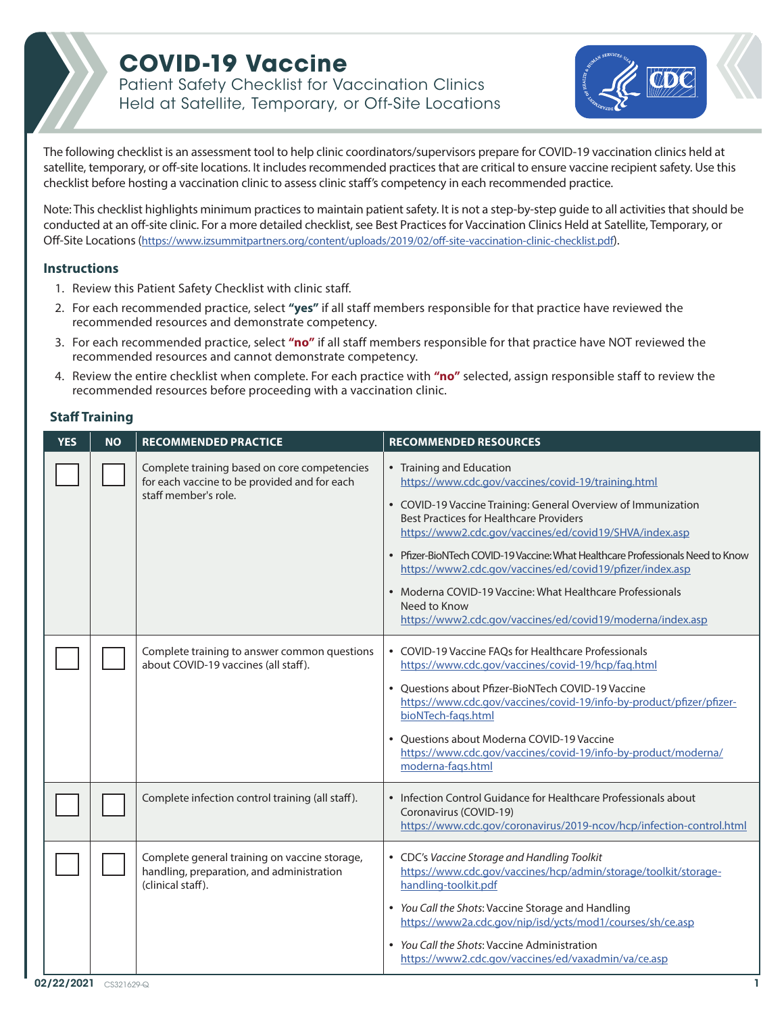## **COVID-19 Vaccine**

Patient Safety Checklist for Vaccination Clinics Held at Satellite, Temporary, or Off-Site Locations



The following checklist is an assessment tool to help clinic coordinators/supervisors prepare for COVID-19 vaccination clinics held at satellite, temporary, or off-site locations. It includes recommended practices that are critical to ensure vaccine recipient safety. Use this checklist before hosting a vaccination clinic to assess clinic staff's competency in each recommended practice.

Note: This checklist highlights minimum practices to maintain patient safety. It is not a step-by-step guide to all activities that should be conducted at an off-site clinic. For a more detailed checklist, see [Best Practices for Vaccination Clinics Held at Satellite, Temporary, or](https://www.izsummitpartners.org/content/uploads/2019/02/off-site-vaccination-clinic-checklist.pdf)  [Off-Site Locations](https://www.izsummitpartners.org/content/uploads/2019/02/off-site-vaccination-clinic-checklist.pdf)(<https://www.izsummitpartners.org/content/uploads/2019/02/off-site-vaccination-clinic-checklist.pdf>).

#### **Instructions**

- 1. Review this Patient Safety Checklist with clinic staff.
- 2. For each recommended practice, select **"yes"** if all staff members responsible for that practice have reviewed the recommended resources and demonstrate competency.
- 3. For each recommended practice, select **"no"** if all staff members responsible for that practice have NOT reviewed the recommended resources and cannot demonstrate competency.
- 4. Review the entire checklist when complete. For each practice with **"no"** selected, assign responsible staff to review the recommended resources before proceeding with a vaccination clinic.

#### **Staff Training**

| <b>YES</b> | <b>NO</b> | <b>RECOMMENDED PRACTICE</b>                                                                                          | <b>RECOMMENDED RESOURCES</b>                                                                                                                                                                                                                                                                                                                                                                                                                                                                                                                            |
|------------|-----------|----------------------------------------------------------------------------------------------------------------------|---------------------------------------------------------------------------------------------------------------------------------------------------------------------------------------------------------------------------------------------------------------------------------------------------------------------------------------------------------------------------------------------------------------------------------------------------------------------------------------------------------------------------------------------------------|
|            |           | Complete training based on core competencies<br>for each vaccine to be provided and for each<br>staff member's role. | • Training and Education<br>https://www.cdc.gov/vaccines/covid-19/training.html<br>• COVID-19 Vaccine Training: General Overview of Immunization<br><b>Best Practices for Healthcare Providers</b><br>https://www2.cdc.gov/vaccines/ed/covid19/SHVA/index.asp<br>• Pfizer-BioNTech COVID-19 Vaccine: What Healthcare Professionals Need to Know<br>https://www2.cdc.gov/vaccines/ed/covid19/pfizer/index.asp<br>• Moderna COVID-19 Vaccine: What Healthcare Professionals<br>Need to Know<br>https://www2.cdc.gov/vaccines/ed/covid19/moderna/index.asp |
|            |           | Complete training to answer common questions<br>about COVID-19 vaccines (all staff).                                 | • COVID-19 Vaccine FAOs for Healthcare Professionals<br>https://www.cdc.gov/vaccines/covid-19/hcp/faq.html<br>• Questions about Pfizer-BioNTech COVID-19 Vaccine<br>https://www.cdc.gov/vaccines/covid-19/info-by-product/pfizer/pfizer-<br>bioNTech-fags.html<br>• Ouestions about Moderna COVID-19 Vaccine<br>https://www.cdc.gov/vaccines/covid-19/info-by-product/moderna/<br>moderna-fags.html                                                                                                                                                     |
|            |           | Complete infection control training (all staff).                                                                     | • Infection Control Guidance for Healthcare Professionals about<br>Coronavirus (COVID-19)<br>https://www.cdc.gov/coronavirus/2019-ncov/hcp/infection-control.html                                                                                                                                                                                                                                                                                                                                                                                       |
|            |           | Complete general training on vaccine storage,<br>handling, preparation, and administration<br>(clinical staff).      | • CDC's Vaccine Storage and Handling Toolkit<br>https://www.cdc.gov/vaccines/hcp/admin/storage/toolkit/storage-<br>handling-toolkit.pdf<br>• You Call the Shots: Vaccine Storage and Handling<br>https://www2a.cdc.gov/nip/isd/ycts/mod1/courses/sh/ce.asp<br>• You Call the Shots: Vaccine Administration<br>https://www2.cdc.gov/vaccines/ed/vaxadmin/va/ce.asp                                                                                                                                                                                       |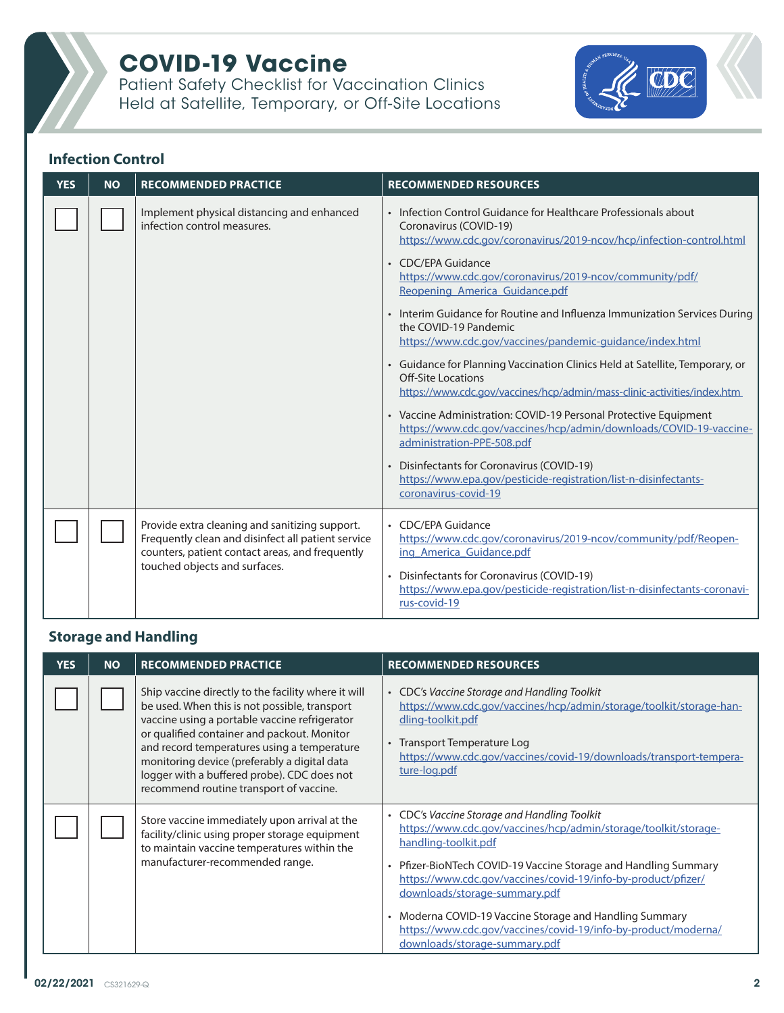

Patient Safety Checklist for Vaccination Clinics Held at Satellite, Temporary, or Off-Site Locations



## **Infection Control**

| <b>YES</b> | <b>NO</b> | <b>RECOMMENDED PRACTICE</b>                                                                                                                                                              | <b>RECOMMENDED RESOURCES</b>                                                                                                                                                                                                                                                                                                                                                                                                                                                                                                                                                                                                                                                                                                                                                                                                                                                                                                                                     |
|------------|-----------|------------------------------------------------------------------------------------------------------------------------------------------------------------------------------------------|------------------------------------------------------------------------------------------------------------------------------------------------------------------------------------------------------------------------------------------------------------------------------------------------------------------------------------------------------------------------------------------------------------------------------------------------------------------------------------------------------------------------------------------------------------------------------------------------------------------------------------------------------------------------------------------------------------------------------------------------------------------------------------------------------------------------------------------------------------------------------------------------------------------------------------------------------------------|
|            |           | Implement physical distancing and enhanced<br>infection control measures.                                                                                                                | • Infection Control Guidance for Healthcare Professionals about<br>Coronavirus (COVID-19)<br>https://www.cdc.gov/coronavirus/2019-ncov/hcp/infection-control.html<br>• CDC/EPA Guidance<br>https://www.cdc.gov/coronavirus/2019-ncov/community/pdf/<br>Reopening America Guidance.pdf<br>• Interim Guidance for Routine and Influenza Immunization Services During<br>the COVID-19 Pandemic<br>https://www.cdc.gov/vaccines/pandemic-guidance/index.html<br>• Guidance for Planning Vaccination Clinics Held at Satellite, Temporary, or<br><b>Off-Site Locations</b><br>https://www.cdc.gov/vaccines/hcp/admin/mass-clinic-activities/index.htm<br>• Vaccine Administration: COVID-19 Personal Protective Equipment<br>https://www.cdc.gov/vaccines/hcp/admin/downloads/COVID-19-vaccine-<br>administration-PPE-508.pdf<br>Disinfectants for Coronavirus (COVID-19)<br>https://www.epa.gov/pesticide-registration/list-n-disinfectants-<br>coronavirus-covid-19 |
|            |           | Provide extra cleaning and sanitizing support.<br>Frequently clean and disinfect all patient service<br>counters, patient contact areas, and frequently<br>touched objects and surfaces. | • CDC/EPA Guidance<br>https://www.cdc.gov/coronavirus/2019-ncov/community/pdf/Reopen-<br>ing America Guidance.pdf<br>• Disinfectants for Coronavirus (COVID-19)<br>https://www.epa.gov/pesticide-registration/list-n-disinfectants-coronavi-<br>rus-covid-19                                                                                                                                                                                                                                                                                                                                                                                                                                                                                                                                                                                                                                                                                                     |

## **Storage and Handling**

| <b>YES</b> | <b>NO</b> | <b>RECOMMENDED PRACTICE</b>                                                                                                                                                                                                                                                                                                                                                                   | <b>RECOMMENDED RESOURCES</b>                                                                                                                                                                                                                                                                                                                                                                                                                                                      |
|------------|-----------|-----------------------------------------------------------------------------------------------------------------------------------------------------------------------------------------------------------------------------------------------------------------------------------------------------------------------------------------------------------------------------------------------|-----------------------------------------------------------------------------------------------------------------------------------------------------------------------------------------------------------------------------------------------------------------------------------------------------------------------------------------------------------------------------------------------------------------------------------------------------------------------------------|
|            |           | Ship vaccine directly to the facility where it will<br>be used. When this is not possible, transport<br>vaccine using a portable vaccine refrigerator<br>or qualified container and packout. Monitor<br>and record temperatures using a temperature<br>monitoring device (preferably a digital data<br>logger with a buffered probe). CDC does not<br>recommend routine transport of vaccine. | CDC's Vaccine Storage and Handling Toolkit<br>https://www.cdc.gov/vaccines/hcp/admin/storage/toolkit/storage-han-<br>dling-toolkit.pdf<br>Transport Temperature Log<br>https://www.cdc.gov/vaccines/covid-19/downloads/transport-tempera-<br>ture-log.pdf                                                                                                                                                                                                                         |
|            |           | Store vaccine immediately upon arrival at the<br>facility/clinic using proper storage equipment<br>to maintain vaccine temperatures within the<br>manufacturer-recommended range.                                                                                                                                                                                                             | CDC's Vaccine Storage and Handling Toolkit<br>$\bullet$<br>https://www.cdc.gov/vaccines/hcp/admin/storage/toolkit/storage-<br>handling-toolkit.pdf<br>Pfizer-BioNTech COVID-19 Vaccine Storage and Handling Summary<br>https://www.cdc.gov/vaccines/covid-19/info-by-product/pfizer/<br>downloads/storage-summary.pdf<br>Moderna COVID-19 Vaccine Storage and Handling Summary<br>https://www.cdc.gov/vaccines/covid-19/info-by-product/moderna/<br>downloads/storage-summary.pdf |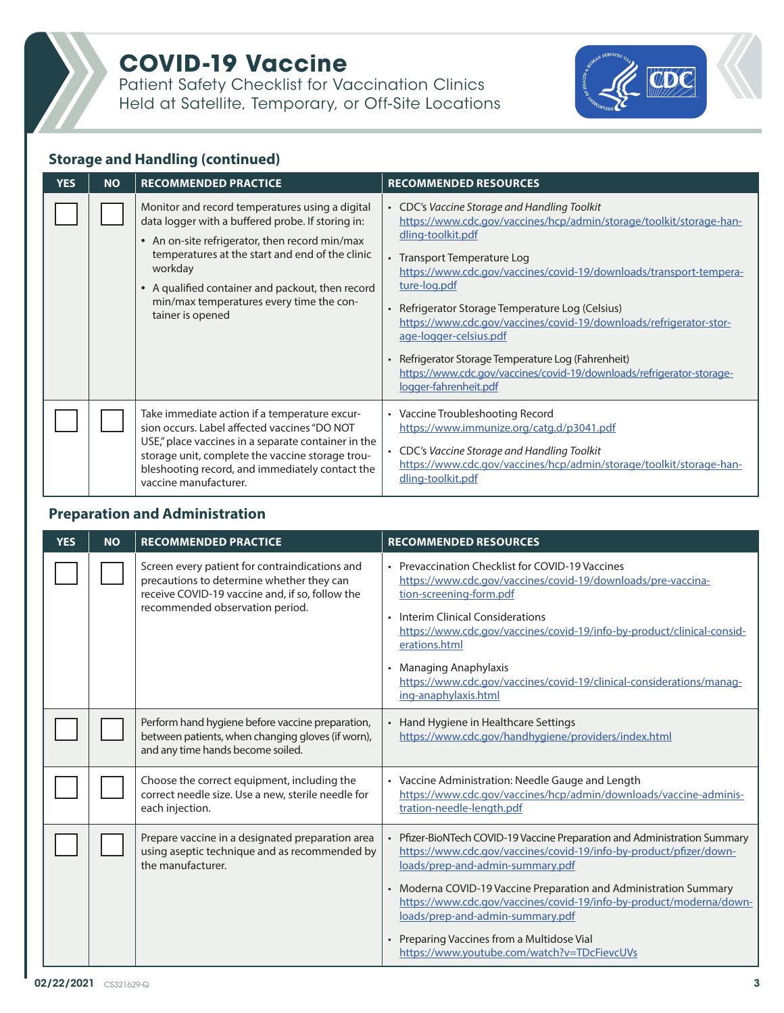**COVID-19 Vaccine** 

Patient Safety Checklist for Vaccination Clinics Held at Satellite, Temporary, or Off-Site Locations



#### **Storage and Handling (continued)**

| YES | <b>NO</b> | <b>RECOMMENDED PRACTICE</b>                                                                                                                                                                                                                                                                                                                         | <b>RECOMMENDED RESOURCES</b>                                                                                                                                                                                                                                                                                                                                                                                                                                                                                                                                         |
|-----|-----------|-----------------------------------------------------------------------------------------------------------------------------------------------------------------------------------------------------------------------------------------------------------------------------------------------------------------------------------------------------|----------------------------------------------------------------------------------------------------------------------------------------------------------------------------------------------------------------------------------------------------------------------------------------------------------------------------------------------------------------------------------------------------------------------------------------------------------------------------------------------------------------------------------------------------------------------|
|     |           | Monitor and record temperatures using a digital<br>data logger with a buffered probe. If storing in:<br>• An on-site refrigerator, then record min/max<br>temperatures at the start and end of the clinic<br>workday<br>A qualified container and packout, then record<br>$\bullet$<br>min/max temperatures every time the con-<br>tainer is opened | • CDC's Vaccine Storage and Handling Toolkit<br>https://www.cdc.gov/vaccines/hcp/admin/storage/toolkit/storage-han-<br>dling-toolkit.pdf<br>Transport Temperature Log<br>https://www.cdc.gov/vaccines/covid-19/downloads/transport-tempera-<br>ture-log.pdf<br>Refrigerator Storage Temperature Log (Celsius)<br>https://www.cdc.gov/vaccines/covid-19/downloads/refrigerator-stor-<br>age-logger-celsius.pdf<br>Refrigerator Storage Temperature Log (Fahrenheit)<br>https://www.cdc.gov/vaccines/covid-19/downloads/refrigerator-storage-<br>logger-fahrenheit.pdf |
|     |           | Take immediate action if a temperature excur-<br>sion occurs. Label affected vaccines "DO NOT<br>USE," place vaccines in a separate container in the<br>storage unit, complete the vaccine storage trou-<br>bleshooting record, and immediately contact the<br>vaccine manufacturer.                                                                | • Vaccine Troubleshooting Record<br>https://www.immunize.org/catg.d/p3041.pdf<br>• CDC's Vaccine Storage and Handling Toolkit<br>https://www.cdc.gov/vaccines/hcp/admin/storage/toolkit/storage-han-<br>dling-toolkit.pdf                                                                                                                                                                                                                                                                                                                                            |

#### **Preparation and Administration**

| <b>YES</b> | <b>NO</b> | <b>RECOMMENDED PRACTICE</b>                                                                                                                                                       | <b>RECOMMENDED RESOURCES</b>                                                                                                                                                                                                                                                                                                                                                                                          |
|------------|-----------|-----------------------------------------------------------------------------------------------------------------------------------------------------------------------------------|-----------------------------------------------------------------------------------------------------------------------------------------------------------------------------------------------------------------------------------------------------------------------------------------------------------------------------------------------------------------------------------------------------------------------|
|            |           | Screen every patient for contraindications and<br>precautions to determine whether they can<br>receive COVID-19 vaccine and, if so, follow the<br>recommended observation period. | Prevaccination Checklist for COVID-19 Vaccines<br>$\bullet$<br>https://www.cdc.gov/vaccines/covid-19/downloads/pre-vaccina-<br>tion-screening-form.pdf<br>• Interim Clinical Considerations<br>https://www.cdc.gov/vaccines/covid-19/info-by-product/clinical-consid-<br>erations.html<br><b>Managing Anaphylaxis</b><br>https://www.cdc.gov/vaccines/covid-19/clinical-considerations/manag-<br>ing-anaphylaxis.html |
|            |           | Perform hand hygiene before vaccine preparation,<br>between patients, when changing gloves (if worn),<br>and any time hands become soiled.                                        | Hand Hygiene in Healthcare Settings<br>https://www.cdc.gov/handhygiene/providers/index.html                                                                                                                                                                                                                                                                                                                           |
|            |           | Choose the correct equipment, including the<br>correct needle size. Use a new, sterile needle for<br>each injection.                                                              | • Vaccine Administration: Needle Gauge and Length<br>https://www.cdc.gov/vaccines/hcp/admin/downloads/vaccine-adminis-<br>tration-needle-length.pdf                                                                                                                                                                                                                                                                   |
|            |           | Prepare vaccine in a designated preparation area<br>using aseptic technique and as recommended by<br>the manufacturer.                                                            | Pfizer-BioNTech COVID-19 Vaccine Preparation and Administration Summary<br>https://www.cdc.gov/vaccines/covid-19/info-by-product/pfizer/down-<br>loads/prep-and-admin-summary.pdf                                                                                                                                                                                                                                     |
|            |           |                                                                                                                                                                                   | • Moderna COVID-19 Vaccine Preparation and Administration Summary<br>https://www.cdc.gov/vaccines/covid-19/info-by-product/moderna/down-<br>loads/prep-and-admin-summary.pdf                                                                                                                                                                                                                                          |
|            |           |                                                                                                                                                                                   | Preparing Vaccines from a Multidose Vial<br>https://www.youtube.com/watch?v=TDcFievcUVs                                                                                                                                                                                                                                                                                                                               |